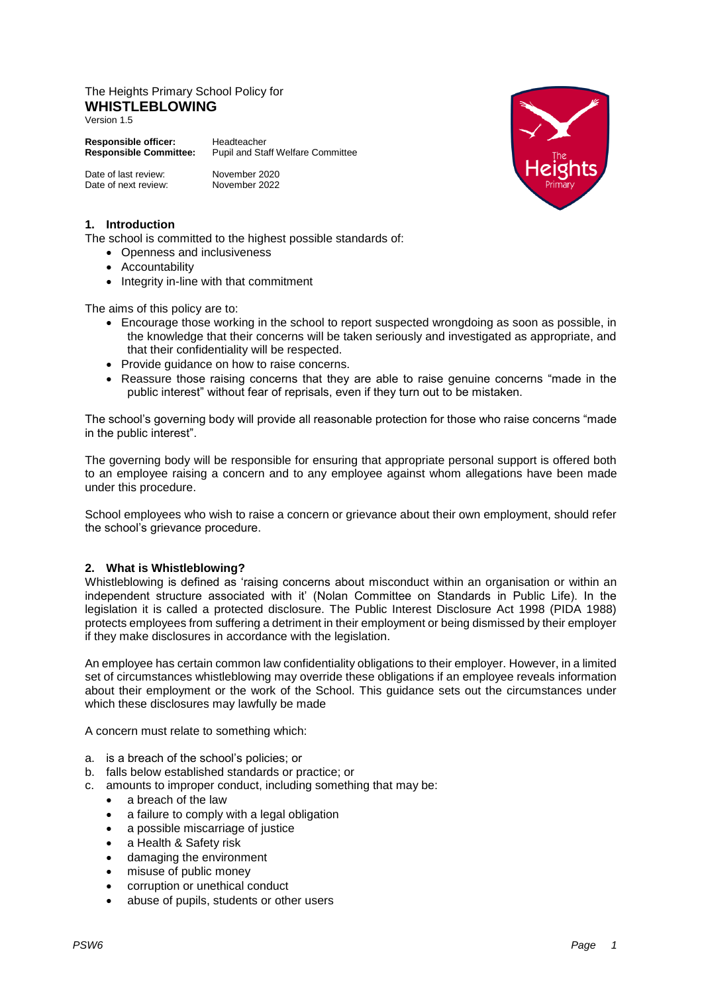# The Heights Primary School Policy for **WHISTLEBLOWING**

Version 1.5

**Responsible officer:** Headteacher<br>**Responsible Committee:** Pupil and Sta **Responsible Committee:** Pupil and Staff Welfare Committee

| Date of last review: | November 2020 |
|----------------------|---------------|
| Date of next review: | November 2022 |

### **1. Introduction**

The school is committed to the highest possible standards of:

- Openness and inclusiveness
- Accountability
- Integrity in-line with that commitment

The aims of this policy are to:

- Encourage those working in the school to report suspected wrongdoing as soon as possible, in the knowledge that their concerns will be taken seriously and investigated as appropriate, and that their confidentiality will be respected.
- Provide guidance on how to raise concerns.
- Reassure those raising concerns that they are able to raise genuine concerns "made in the public interest" without fear of reprisals, even if they turn out to be mistaken.

The school's governing body will provide all reasonable protection for those who raise concerns "made in the public interest".

The governing body will be responsible for ensuring that appropriate personal support is offered both to an employee raising a concern and to any employee against whom allegations have been made under this procedure.

School employees who wish to raise a concern or grievance about their own employment, should refer the school's grievance procedure.

#### **2. What is Whistleblowing?**

Whistleblowing is defined as 'raising concerns about misconduct within an organisation or within an independent structure associated with it' (Nolan Committee on Standards in Public Life). In the legislation it is called a protected disclosure. The Public Interest Disclosure Act 1998 (PIDA 1988) protects employees from suffering a detriment in their employment or being dismissed by their employer if they make disclosures in accordance with the legislation.

An employee has certain common law confidentiality obligations to their employer. However, in a limited set of circumstances whistleblowing may override these obligations if an employee reveals information about their employment or the work of the School. This guidance sets out the circumstances under which these disclosures may lawfully be made

A concern must relate to something which:

- a. is a breach of the school's policies; or
- b. falls below established standards or practice; or
- c. amounts to improper conduct, including something that may be:
	- a breach of the law
	- a failure to comply with a legal obligation
	- a possible miscarriage of justice
	- a Health & Safety risk
	- damaging the environment
	- misuse of public money
	- corruption or unethical conduct
	- abuse of pupils, students or other users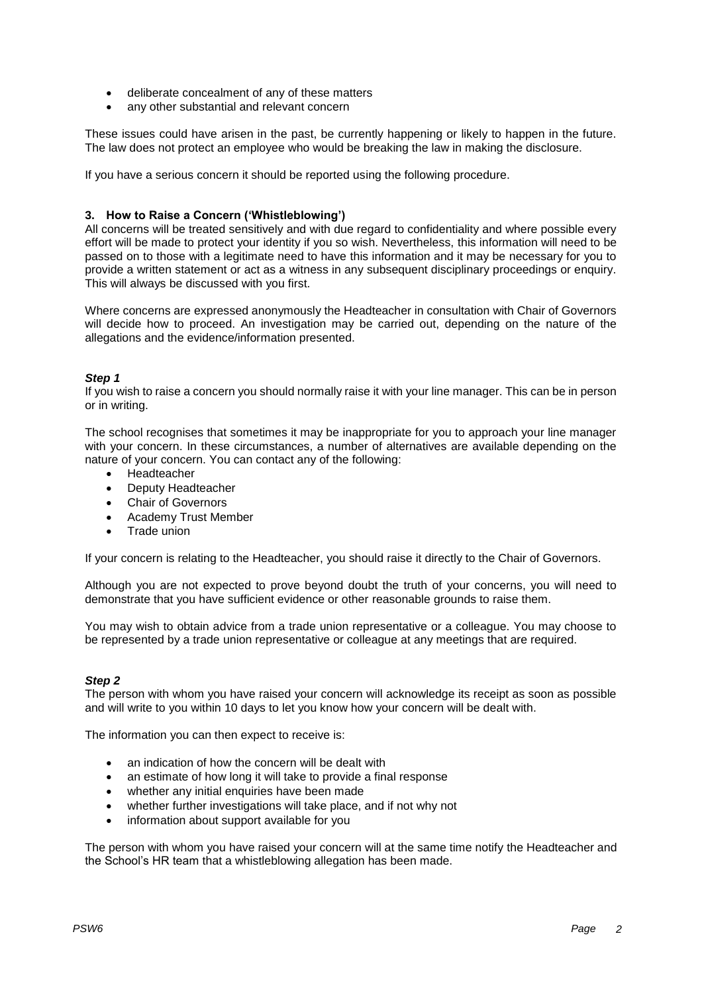- deliberate concealment of any of these matters
- any other substantial and relevant concern

These issues could have arisen in the past, be currently happening or likely to happen in the future. The law does not protect an employee who would be breaking the law in making the disclosure.

If you have a serious concern it should be reported using the following procedure.

## **3. How to Raise a Concern ('Whistleblowing')**

All concerns will be treated sensitively and with due regard to confidentiality and where possible every effort will be made to protect your identity if you so wish. Nevertheless, this information will need to be passed on to those with a legitimate need to have this information and it may be necessary for you to provide a written statement or act as a witness in any subsequent disciplinary proceedings or enquiry. This will always be discussed with you first.

Where concerns are expressed anonymously the Headteacher in consultation with Chair of Governors will decide how to proceed. An investigation may be carried out, depending on the nature of the allegations and the evidence/information presented.

#### *Step 1*

If you wish to raise a concern you should normally raise it with your line manager. This can be in person or in writing.

The school recognises that sometimes it may be inappropriate for you to approach your line manager with your concern. In these circumstances, a number of alternatives are available depending on the nature of your concern. You can contact any of the following:

- Headteacher
- Deputy Headteacher
- Chair of Governors
- Academy Trust Member
- Trade union

If your concern is relating to the Headteacher, you should raise it directly to the Chair of Governors.

Although you are not expected to prove beyond doubt the truth of your concerns, you will need to demonstrate that you have sufficient evidence or other reasonable grounds to raise them.

You may wish to obtain advice from a trade union representative or a colleague. You may choose to be represented by a trade union representative or colleague at any meetings that are required.

#### *Step 2*

The person with whom you have raised your concern will acknowledge its receipt as soon as possible and will write to you within 10 days to let you know how your concern will be dealt with.

The information you can then expect to receive is:

- an indication of how the concern will be dealt with
- an estimate of how long it will take to provide a final response
- whether any initial enquiries have been made
- whether further investigations will take place, and if not why not
- information about support available for you

The person with whom you have raised your concern will at the same time notify the Headteacher and the School's HR team that a whistleblowing allegation has been made.